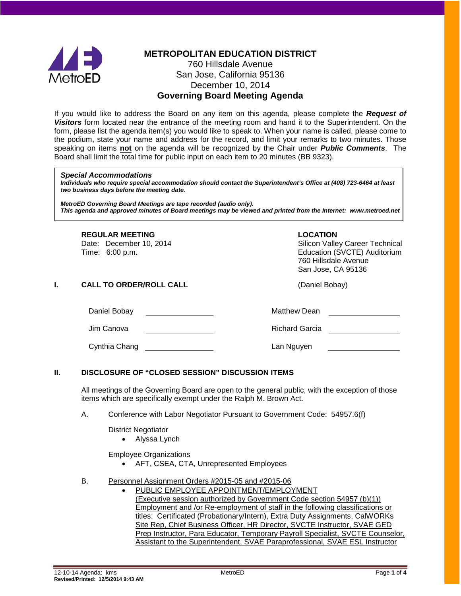

## **METROPOLITAN EDUCATION DISTRICT**

### 760 Hillsdale Avenue San Jose, California 95136 December 10, 2014 **Governing Board Meeting Agenda**

If you would like to address the Board on any item on this agenda, please complete the *Request of Visitors* form located near the entrance of the meeting room and hand it to the Superintendent. On the form, please list the agenda item(s) you would like to speak to. When your name is called, please come to the podium, state your name and address for the record, and limit your remarks to two minutes. Those speaking on items **not** on the agenda will be recognized by the Chair under *Public Comments*. The Board shall limit the total time for public input on each item to 20 minutes (BB 9323).

#### *Special Accommodations*

*Individuals who require special accommodation should contact the Superintendent's Office at (408) 723-6464 at least two business days before the meeting date.*

*MetroED Governing Board Meetings are tape recorded (audio only). This agenda and approved minutes of Board meetings may be viewed and printed from the Internet: www.metroed.net*

**REGULAR MEETING**<br>
Date: December 10, 2014 **COLORIST CONTRETAINAGE CONTRETTION** 

Date: December 10, 2014 <br>
Time: 6:00 p.m. Silicon Valley Career Technical<br>
Education (SVCTE) Auditorium Education (SVCTE) Auditorium 760 Hillsdale Avenue San Jose, CA 95136

#### **I. CALL TO ORDER/ROLL CALL CALL CALL** (Daniel Bobay)

| Daniel Bobay  | <b>Matthew Dean</b>   |
|---------------|-----------------------|
| Jim Canova    | <b>Richard Garcia</b> |
| Cynthia Chang | Lan Nguyen            |

#### **II. DISCLOSURE OF "CLOSED SESSION" DISCUSSION ITEMS**

All meetings of the Governing Board are open to the general public, with the exception of those items which are specifically exempt under the Ralph M. Brown Act.

A. Conference with Labor Negotiator Pursuant to Government Code: 54957.6(f)

District Negotiator

• Alyssa Lynch

Employee Organizations

- AFT, CSEA, CTA, Unrepresented Employees
- B. Personnel Assignment Orders #2015-05 and #2015-06
	- PUBLIC EMPLOYEE APPOINTMENT/EMPLOYMENT (Executive session authorized by Government Code section 54957 (b)(1)) Employment and /or Re-employment of staff in the following classifications or titles: Certificated (Probationary/Intern), Extra Duty Assignments, CalWORKs Site Rep, Chief Business Officer, HR Director, SVCTE Instructor, SVAE GED Prep Instructor, Para Educator, Temporary Payroll Specialist, SVCTE Counselor, Assistant to the Superintendent, SVAE Paraprofessional, SVAE ESL Instructor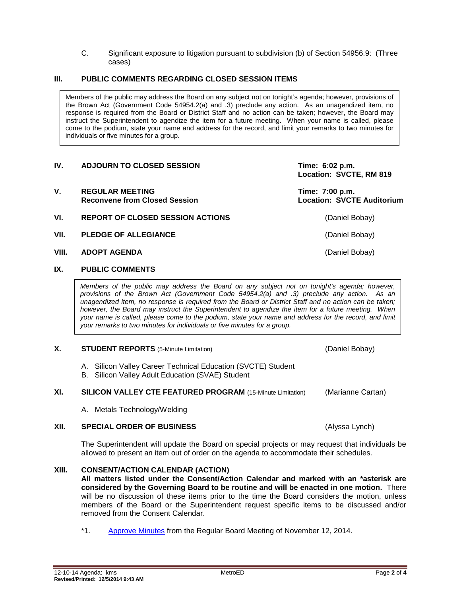C. Significant exposure to litigation pursuant to subdivision (b) of Section 54956.9: (Three cases)

#### **III. PUBLIC COMMENTS REGARDING CLOSED SESSION ITEMS**

Members of the public may address the Board on any subject not on tonight's agenda; however, provisions of the Brown Act (Government Code 54954.2(a) and .3) preclude any action. As an unagendized item, no response is required from the Board or District Staff and no action can be taken; however, the Board may instruct the Superintendent to agendize the item for a future meeting. When your name is called, please come to the podium, state your name and address for the record, and limit your remarks to two minutes for individuals or five minutes for a group.

#### **IV. ADJOURN TO CLOSED SESSION Time: 6:02 p.m.**

- V. REGULAR MEETING<br>Reconvene from Closed Session **Time: 7:00 p.m.**<br>Location: SVCTE Auditorium **Reconvene from Closed Session**
- **VI. REPORT OF CLOSED SESSION ACTIONS** (Daniel Bobay)
- **VII. PLEDGE OF ALLEGIANCE** (Daniel Bobay)
- **VIII. ADOPT AGENDA** (Daniel Bobay)
- **IX. PUBLIC COMMENTS**

*Members of the public may address the Board on any subject not on tonight's agenda; however, provisions of the Brown Act (Government Code 54954.2(a) and .3) preclude any action. As an unagendized item, no response is required from the Board or District Staff and no action can be taken; however, the Board may instruct the Superintendent to agendize the item for a future meeting. When your name is called, please come to the podium, state your name and address for the record, and limit your remarks to two minutes for individuals or five minutes for a group.*

#### **X. STUDENT REPORTS** (5-Minute Limitation) **COMING A CONSTRUSTED BOBAY** (Daniel Bobay)

- A. Silicon Valley Career Technical Education (SVCTE) Student
- B. Silicon Valley Adult Education (SVAE) Student

#### **XI. SILICON VALLEY CTE FEATURED PROGRAM** (15-Minute Limitation) (Marianne Cartan)

A. Metals Technology/Welding

#### **XII. SPECIAL ORDER OF BUSINESS** (Alyssa Lynch)

The Superintendent will update the Board on special projects or may request that individuals be allowed to present an item out of order on the agenda to accommodate their schedules.

#### **XIII. CONSENT/ACTION CALENDAR (ACTION)**

**All matters listed under the Consent/Action Calendar and marked with an \*asterisk are considered by the Governing Board to be routine and will be enacted in one motion.** There will be no discussion of these items prior to the time the Board considers the motion, unless members of the Board or the Superintendent request specific items to be discussed and/or removed from the Consent Calendar.

\*1. [Approve Minutes](http://fbsd.metroed.net/malaimo/Board_Agenda/12-10-14BoardAgenda/11-12-14BoardMinutes.pdf) from the Regular Board Meeting of November 12, 2014.

12-10-14 Agenda: kms MetroED Page **2** of **4 Revised/Printed: 12/5/2014 9:43 AM**

**Location: SVCTE, RM 819**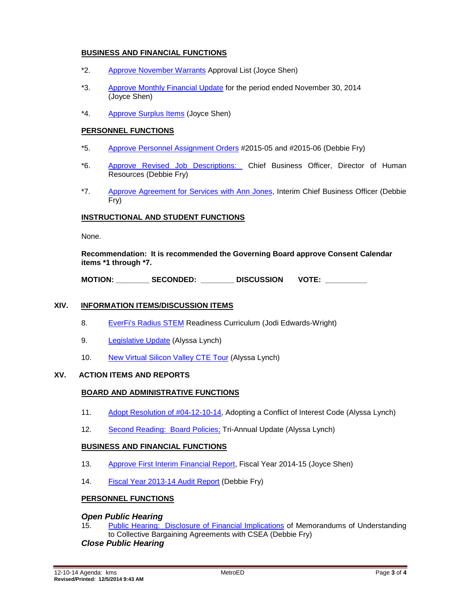### **BUSINESS AND FINANCIAL FUNCTIONS**

- \*2. [Approve November Warrants](http://fbsd.metroed.net/malaimo/Board_Agenda/12-10-14BoardAgenda/Item2.pdf) Approval List (Joyce Shen)
- \*3. [Approve Monthly Financial Update](http://fbsd.metroed.net/malaimo/Board_Agenda/12-10-14BoardAgenda/Item3.pdf) for the period ended November 30, 2014 (Joyce Shen)
- \*4. [Approve Surplus Items](http://fbsd.metroed.net/malaimo/Board_Agenda/12-10-14BoardAgenda/Item4.pdf) (Joyce Shen)

#### **PERSONNEL FUNCTIONS**

- \*5. [Approve Personnel Assignment Orders](http://fbsd.metroed.net/malaimo/Board_Agenda/12-10-14BoardAgenda/Item5.pdf) #2015-05 and #2015-06 (Debbie Fry)
- \*6. [Approve Revised Job Descriptions:](http://fbsd.metroed.net/malaimo/Board_Agenda/12-10-14BoardAgenda/Item6.pdf) Chief Business Officer, Director of Human Resources (Debbie Fry)
- \*7. [Approve Agreement for Services with Ann Jones,](http://fbsd.metroed.net/malaimo/Board_Agenda/12-10-14BoardAgenda/Item7.pdf) Interim Chief Business Officer (Debbie Fry)

#### **INSTRUCTIONAL AND STUDENT FUNCTIONS**

None.

**Recommendation: It is recommended the Governing Board approve Consent Calendar items \*1 through \*7.**

**MOTION: \_\_\_\_\_\_\_\_ SECONDED: \_\_\_\_\_\_\_\_ DISCUSSION VOTE: \_\_\_\_\_\_\_\_\_\_**

#### **XIV. INFORMATION ITEMS/DISCUSSION ITEMS**

- 8. [EverFi's Radius STEM](http://fbsd.metroed.net/malaimo/Board_Agenda/12-10-14BoardAgenda/Item8.pdf) Readiness Curriculum (Jodi Edwards-Wright)
- 9. [Legislative Update](http://fbsd.metroed.net/malaimo/Board_Agenda/12-10-14BoardAgenda/Item9.pdf) (Alyssa Lynch)
- 10. [New Virtual Silicon](http://fbsd.metroed.net/malaimo/Board_Agenda/12-10-14BoardAgenda/Item10.pdf) Valley CTE Tour (Alyssa Lynch)

#### **XV. ACTION ITEMS AND REPORTS**

#### **BOARD AND ADMINISTRATIVE FUNCTIONS**

- 11. [Adopt Resolution of #04-12-10-14,](http://fbsd.metroed.net/malaimo/Board_Agenda/12-10-14BoardAgenda/Item11.pdf) Adopting a Conflict of Interest Code (Alyssa Lynch)
- 12. Second Reading: Board Policies: Tri-Annual Update (Alyssa Lynch)

#### **BUSINESS AND FINANCIAL FUNCTIONS**

- 13. [Approve First Interim Financial Report,](http://fbsd.metroed.net/malaimo/Board_Agenda/12-10-14BoardAgenda/Item13.pdf) Fiscal Year 2014-15 (Joyce Shen)
- 14. [Fiscal Year 2013-14 Audit Report](http://fbsd.metroed.net/malaimo/Board_Agenda/12-10-14BoardAgenda/Item14.pdf) (Debbie Fry)

#### **PERSONNEL FUNCTIONS**

#### *Open Public Hearing*

15. [Public Hearing: Disclosure of Financial Implications](http://fbsd.metroed.net/malaimo/Board_Agenda/12-10-14BoardAgenda/Item15.pdf) of Memorandums of Understanding to Collective Bargaining Agreements with CSEA (Debbie Fry)

#### *Close Public Hearing*